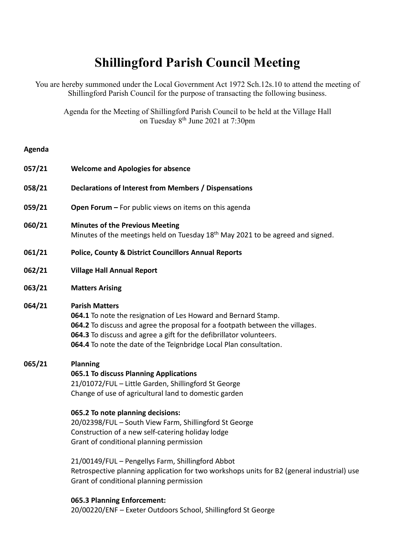## **Shillingford Parish Council Meeting**

You are hereby summoned under the Local Government Act 1972 Sch.12s.10 to attend the meeting of Shillingford Parish Council for the purpose of transacting the following business.

Agenda for the Meeting of Shillingford Parish Council to be held at the Village Hall on Tuesday 8<sup>th</sup> June 2021 at 7:30pm

## **Agenda**

| 057/21 | <b>Welcome and Apologies for absence</b>                                                                                                                                                                                                                                                                                                                                                                                                                                                                                                                                  |
|--------|---------------------------------------------------------------------------------------------------------------------------------------------------------------------------------------------------------------------------------------------------------------------------------------------------------------------------------------------------------------------------------------------------------------------------------------------------------------------------------------------------------------------------------------------------------------------------|
| 058/21 | Declarations of Interest from Members / Dispensations                                                                                                                                                                                                                                                                                                                                                                                                                                                                                                                     |
| 059/21 | Open Forum - For public views on items on this agenda                                                                                                                                                                                                                                                                                                                                                                                                                                                                                                                     |
| 060/21 | <b>Minutes of the Previous Meeting</b><br>Minutes of the meetings held on Tuesday 18 <sup>th</sup> May 2021 to be agreed and signed.                                                                                                                                                                                                                                                                                                                                                                                                                                      |
| 061/21 | <b>Police, County &amp; District Councillors Annual Reports</b>                                                                                                                                                                                                                                                                                                                                                                                                                                                                                                           |
| 062/21 | <b>Village Hall Annual Report</b>                                                                                                                                                                                                                                                                                                                                                                                                                                                                                                                                         |
| 063/21 | <b>Matters Arising</b>                                                                                                                                                                                                                                                                                                                                                                                                                                                                                                                                                    |
| 064/21 | <b>Parish Matters</b><br>064.1 To note the resignation of Les Howard and Bernard Stamp.<br>064.2 To discuss and agree the proposal for a footpath between the villages.<br>064.3 To discuss and agree a gift for the defibrillator volunteers.<br>064.4 To note the date of the Teignbridge Local Plan consultation.                                                                                                                                                                                                                                                      |
| 065/21 | <b>Planning</b><br>065.1 To discuss Planning Applications<br>21/01072/FUL - Little Garden, Shillingford St George<br>Change of use of agricultural land to domestic garden<br>065.2 To note planning decisions:<br>20/02398/FUL - South View Farm, Shillingford St George<br>Construction of a new self-catering holiday lodge<br>Grant of conditional planning permission<br>21/00149/FUL - Pengellys Farm, Shillingford Abbot<br>Retrospective planning application for two workshops units for B2 (general industrial) use<br>Grant of conditional planning permission |
|        | 065.3 Planning Enforcement:<br>20/00220/ENF - Exeter Outdoors School, Shillingford St George                                                                                                                                                                                                                                                                                                                                                                                                                                                                              |